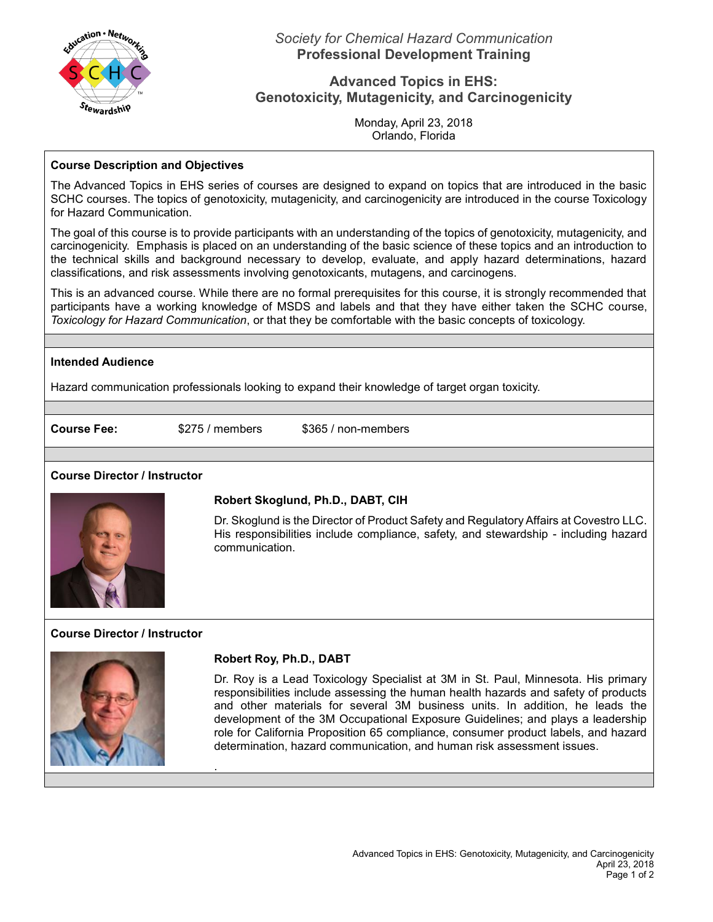

# **Advanced Topics in EHS: Genotoxicity, Mutagenicity, and Carcinogenicity**

Monday, April 23, 2018 Orlando, Florida

#### **Course Description and Objectives**

The Advanced Topics in EHS series of courses are designed to expand on topics that are introduced in the basic SCHC courses. The topics of genotoxicity, mutagenicity, and carcinogenicity are introduced in the course Toxicology for Hazard Communication.

The goal of this course is to provide participants with an understanding of the topics of genotoxicity, mutagenicity, and carcinogenicity. Emphasis is placed on an understanding of the basic science of these topics and an introduction to the technical skills and background necessary to develop, evaluate, and apply hazard determinations, hazard classifications, and risk assessments involving genotoxicants, mutagens, and carcinogens.

This is an advanced course. While there are no formal prerequisites for this course, it is strongly recommended that participants have a working knowledge of MSDS and labels and that they have either taken the SCHC course, *Toxicology for Hazard Communication*, or that they be comfortable with the basic concepts of toxicology.

## **Intended Audience**

Hazard communication professionals looking to expand their knowledge of target organ toxicity.

.

**Course Fee:** \$275 / members \$365 / non-members

## **Course Director / Instructor**



## **Robert Skoglund, Ph.D., DABT, CIH**

Dr. Skoglund is the Director of Product Safety and Regulatory Affairs at Covestro LLC. His responsibilities include compliance, safety, and stewardship - including hazard communication.

## **Course Director / Instructor**



## **Robert Roy, Ph.D., DABT**

Dr. Roy is a Lead Toxicology Specialist at 3M in St. Paul, Minnesota. His primary responsibilities include assessing the human health hazards and safety of products and other materials for several 3M business units. In addition, he leads the development of the 3M Occupational Exposure Guidelines; and plays a leadership role for California Proposition 65 compliance, consumer product labels, and hazard determination, hazard communication, and human risk assessment issues.